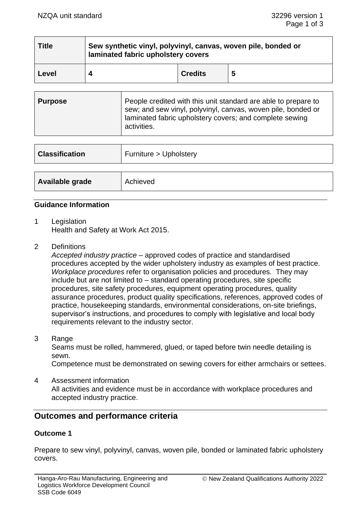| <b>Title</b> | Sew synthetic vinyl, polyvinyl, canvas, woven pile, bonded or<br>laminated fabric upholstery covers |                |   |  |
|--------------|-----------------------------------------------------------------------------------------------------|----------------|---|--|
| Level        |                                                                                                     | <b>Credits</b> | 5 |  |

| Purpose | People credited with this unit standard are able to prepare to<br>sew; and sew vinyl, polyvinyl, canvas, woven pile, bonded or<br>laminated fabric upholstery covers; and complete sewing<br>activities. |
|---------|----------------------------------------------------------------------------------------------------------------------------------------------------------------------------------------------------------|
|---------|----------------------------------------------------------------------------------------------------------------------------------------------------------------------------------------------------------|

| <b>Classification</b> | Furniture > Upholstery |
|-----------------------|------------------------|
|                       |                        |
| Available grade       | Achieved               |

## **Guidance Information**

- 1 Legislation Health and Safety at Work Act 2015.
- 2 Definitions

*Accepted industry practice* – approved codes of practice and standardised procedures accepted by the wider upholstery industry as examples of best practice. *Workplace procedures* refer to organisation policies and procedures. They may include but are not limited to – standard operating procedures, site specific procedures, site safety procedures, equipment operating procedures, quality assurance procedures, product quality specifications, references, approved codes of practice, housekeeping standards, environmental considerations, on-site briefings, supervisor's instructions, and procedures to comply with legislative and local body requirements relevant to the industry sector.

3 Range

Seams must be rolled, hammered, glued, or taped before twin needle detailing is sewn.

Competence must be demonstrated on sewing covers for either armchairs or settees.

4 Assessment information All activities and evidence must be in accordance with workplace procedures and accepted industry practice.

# **Outcomes and performance criteria**

## **Outcome 1**

Prepare to sew vinyl, polyvinyl, canvas, woven pile, bonded or laminated fabric upholstery covers.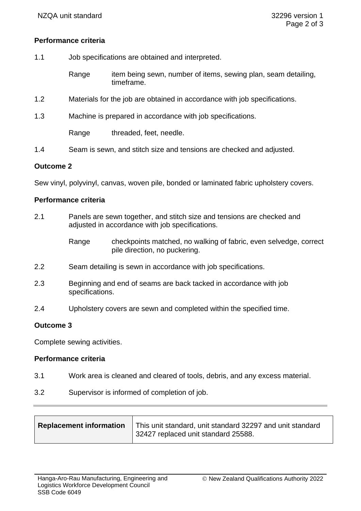## **Performance criteria**

- 1.1 Job specifications are obtained and interpreted.
	- Range item being sewn, number of items, sewing plan, seam detailing, timeframe.
- 1.2 Materials for the job are obtained in accordance with job specifications.
- 1.3 Machine is prepared in accordance with job specifications.

Range threaded, feet, needle.

1.4 Seam is sewn, and stitch size and tensions are checked and adjusted.

#### **Outcome 2**

Sew vinyl, polyvinyl, canvas, woven pile, bonded or laminated fabric upholstery covers.

#### **Performance criteria**

- 2.1 Panels are sewn together, and stitch size and tensions are checked and adjusted in accordance with job specifications.
	- Range checkpoints matched, no walking of fabric, even selvedge, correct pile direction, no puckering.
- 2.2 Seam detailing is sewn in accordance with job specifications.
- 2.3 Beginning and end of seams are back tacked in accordance with job specifications.
- 2.4 Upholstery covers are sewn and completed within the specified time.

## **Outcome 3**

Complete sewing activities.

## **Performance criteria**

- 3.1 Work area is cleaned and cleared of tools, debris, and any excess material.
- 3.2 Supervisor is informed of completion of job.

| <b>Replacement information</b> | This unit standard, unit standard 32297 and unit standard<br>32427 replaced unit standard 25588. |
|--------------------------------|--------------------------------------------------------------------------------------------------|
|--------------------------------|--------------------------------------------------------------------------------------------------|